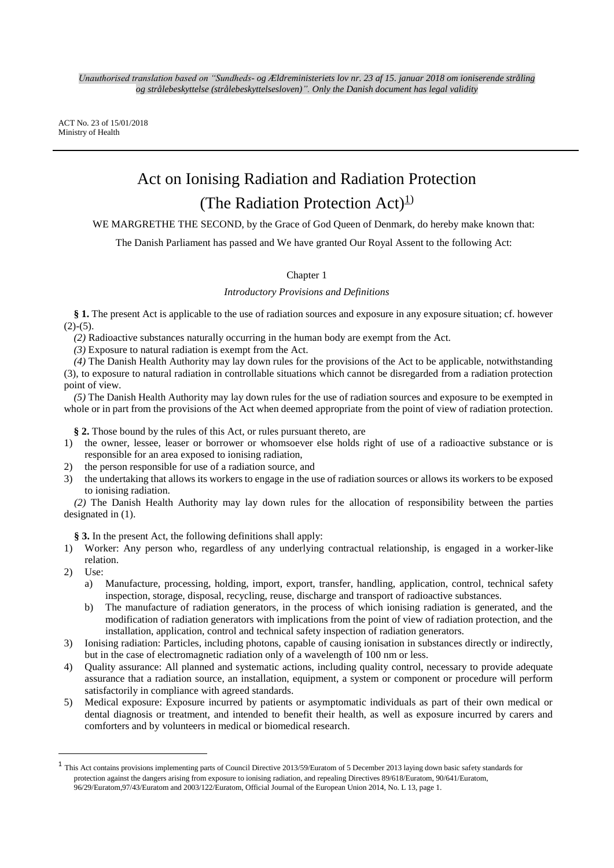ACT No. 23 of 15/01/2018 Ministry of Health

# Act on Ionising Radiation and Radiation Protection (The Radiation Protection Act)<sup>1)</sup>

WE MARGRETHE THE SECOND, by the Grace of God Queen of Denmark, do hereby make known that:

The Danish Parliament has passed and We have granted Our Royal Assent to the following Act:

## Chapter 1

## *Introductory Provisions and Definitions*

**§ 1.** The present Act is applicable to the use of radiation sources and exposure in any exposure situation; cf. however  $(2)-(5)$ .

*(2)* Radioactive substances naturally occurring in the human body are exempt from the Act.

*(3)* Exposure to natural radiation is exempt from the Act.

*(4)* The Danish Health Authority may lay down rules for the provisions of the Act to be applicable, notwithstanding (3), to exposure to natural radiation in controllable situations which cannot be disregarded from a radiation protection point of view.

*(5)* The Danish Health Authority may lay down rules for the use of radiation sources and exposure to be exempted in whole or in part from the provisions of the Act when deemed appropriate from the point of view of radiation protection.

**§ 2.** Those bound by the rules of this Act, or rules pursuant thereto, are

- 1) the owner, lessee, leaser or borrower or whomsoever else holds right of use of a radioactive substance or is responsible for an area exposed to ionising radiation,
- 2) the person responsible for use of a radiation source, and
- 3) the undertaking that allows its workers to engage in the use of radiation sources or allows its workers to be exposed to ionising radiation.

*(2)* The Danish Health Authority may lay down rules for the allocation of responsibility between the parties designated in (1).

**§ 3.** In the present Act, the following definitions shall apply:

- 1) Worker: Any person who, regardless of any underlying contractual relationship, is engaged in a worker-like relation.
- 2) Use:

**.** 

- a) Manufacture, processing, holding, import, export, transfer, handling, application, control, technical safety inspection, storage, disposal, recycling, reuse, discharge and transport of radioactive substances.
- b) The manufacture of radiation generators, in the process of which ionising radiation is generated, and the modification of radiation generators with implications from the point of view of radiation protection, and the installation, application, control and technical safety inspection of radiation generators.
- 3) Ionising radiation: Particles, including photons, capable of causing ionisation in substances directly or indirectly, but in the case of electromagnetic radiation only of a wavelength of 100 nm or less.
- 4) Quality assurance: All planned and systematic actions, including quality control, necessary to provide adequate assurance that a radiation source, an installation, equipment, a system or component or procedure will perform satisfactorily in compliance with agreed standards.
- 5) Medical exposure: Exposure incurred by patients or asymptomatic individuals as part of their own medical or dental diagnosis or treatment, and intended to benefit their health, as well as exposure incurred by carers and comforters and by volunteers in medical or biomedical research.

<sup>1</sup> This Act contains provisions implementing parts of Council Directive 2013/59/Euratom of 5 December 2013 laying down basic safety standards for protection against the dangers arising from exposure to ionising radiation, and repealing Directives 89/618/Euratom, 90/641/Euratom, 96/29/Euratom,97/43/Euratom and 2003/122/Euratom, Official Journal of the European Union 2014, No. L 13, page 1.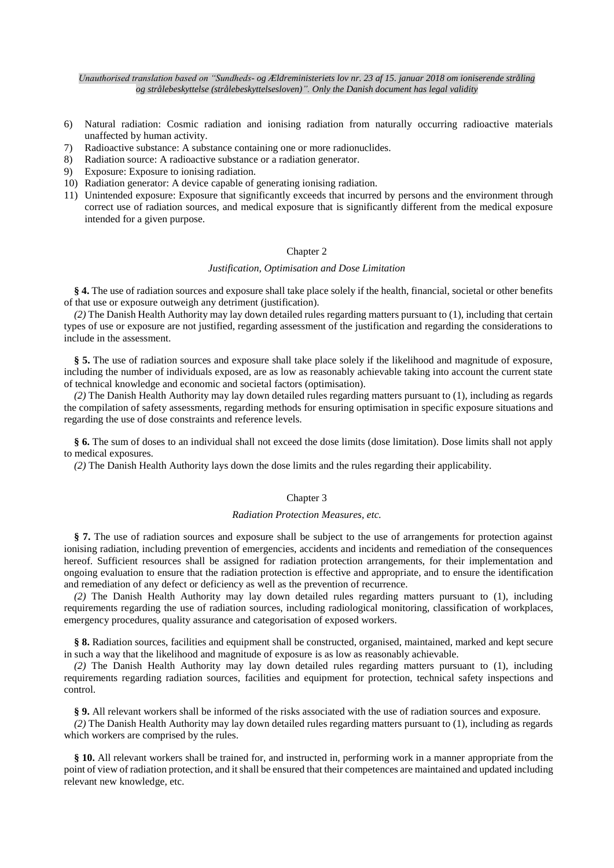- 6) Natural radiation: Cosmic radiation and ionising radiation from naturally occurring radioactive materials unaffected by human activity.
- 7) Radioactive substance: A substance containing one or more radionuclides.
- 8) Radiation source: A radioactive substance or a radiation generator.
- 9) Exposure: Exposure to ionising radiation.
- 10) Radiation generator: A device capable of generating ionising radiation.
- 11) Unintended exposure: Exposure that significantly exceeds that incurred by persons and the environment through correct use of radiation sources, and medical exposure that is significantly different from the medical exposure intended for a given purpose.

## Chapter 2

#### *Justification, Optimisation and Dose Limitation*

**§ 4.** The use of radiation sources and exposure shall take place solely if the health, financial, societal or other benefits of that use or exposure outweigh any detriment (justification).

*(2)* The Danish Health Authority may lay down detailed rules regarding matters pursuant to (1), including that certain types of use or exposure are not justified, regarding assessment of the justification and regarding the considerations to include in the assessment.

**§ 5.** The use of radiation sources and exposure shall take place solely if the likelihood and magnitude of exposure, including the number of individuals exposed, are as low as reasonably achievable taking into account the current state of technical knowledge and economic and societal factors (optimisation).

*(2)* The Danish Health Authority may lay down detailed rules regarding matters pursuant to (1), including as regards the compilation of safety assessments, regarding methods for ensuring optimisation in specific exposure situations and regarding the use of dose constraints and reference levels.

**§ 6.** The sum of doses to an individual shall not exceed the dose limits (dose limitation). Dose limits shall not apply to medical exposures.

*(2)* The Danish Health Authority lays down the dose limits and the rules regarding their applicability.

#### Chapter 3

#### *Radiation Protection Measures, etc.*

**§ 7.** The use of radiation sources and exposure shall be subject to the use of arrangements for protection against ionising radiation, including prevention of emergencies, accidents and incidents and remediation of the consequences hereof. Sufficient resources shall be assigned for radiation protection arrangements, for their implementation and ongoing evaluation to ensure that the radiation protection is effective and appropriate, and to ensure the identification and remediation of any defect or deficiency as well as the prevention of recurrence.

*(2)* The Danish Health Authority may lay down detailed rules regarding matters pursuant to (1), including requirements regarding the use of radiation sources, including radiological monitoring, classification of workplaces, emergency procedures, quality assurance and categorisation of exposed workers.

**§ 8.** Radiation sources, facilities and equipment shall be constructed, organised, maintained, marked and kept secure in such a way that the likelihood and magnitude of exposure is as low as reasonably achievable.

*(2)* The Danish Health Authority may lay down detailed rules regarding matters pursuant to (1), including requirements regarding radiation sources, facilities and equipment for protection, technical safety inspections and control.

**§ 9.** All relevant workers shall be informed of the risks associated with the use of radiation sources and exposure.

*(2)* The Danish Health Authority may lay down detailed rules regarding matters pursuant to (1), including as regards which workers are comprised by the rules.

**§ 10.** All relevant workers shall be trained for, and instructed in, performing work in a manner appropriate from the point of view of radiation protection, and it shall be ensured that their competences are maintained and updated including relevant new knowledge, etc.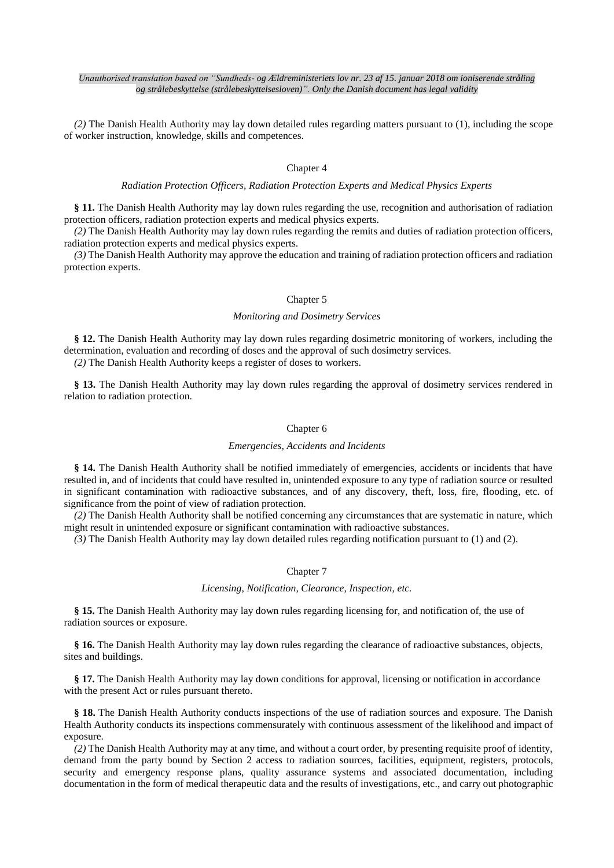*(2)* The Danish Health Authority may lay down detailed rules regarding matters pursuant to (1), including the scope of worker instruction, knowledge, skills and competences.

## Chapter 4

## *Radiation Protection Officers, Radiation Protection Experts and Medical Physics Experts*

**§ 11.** The Danish Health Authority may lay down rules regarding the use, recognition and authorisation of radiation protection officers, radiation protection experts and medical physics experts.

*(2)* The Danish Health Authority may lay down rules regarding the remits and duties of radiation protection officers, radiation protection experts and medical physics experts.

*(3)* The Danish Health Authority may approve the education and training of radiation protection officers and radiation protection experts.

## Chapter 5

## *Monitoring and Dosimetry Services*

**§ 12.** The Danish Health Authority may lay down rules regarding dosimetric monitoring of workers, including the determination, evaluation and recording of doses and the approval of such dosimetry services.

*(2)* The Danish Health Authority keeps a register of doses to workers.

**§ 13.** The Danish Health Authority may lay down rules regarding the approval of dosimetry services rendered in relation to radiation protection.

## Chapter 6

#### *Emergencies, Accidents and Incidents*

**§ 14.** The Danish Health Authority shall be notified immediately of emergencies, accidents or incidents that have resulted in, and of incidents that could have resulted in, unintended exposure to any type of radiation source or resulted in significant contamination with radioactive substances, and of any discovery, theft, loss, fire, flooding, etc. of significance from the point of view of radiation protection.

*(2)* The Danish Health Authority shall be notified concerning any circumstances that are systematic in nature, which might result in unintended exposure or significant contamination with radioactive substances.

*(3)* The Danish Health Authority may lay down detailed rules regarding notification pursuant to (1) and (2).

#### Chapter 7

#### *Licensing, Notification, Clearance, Inspection, etc.*

**§ 15.** The Danish Health Authority may lay down rules regarding licensing for, and notification of, the use of radiation sources or exposure.

**§ 16.** The Danish Health Authority may lay down rules regarding the clearance of radioactive substances, objects, sites and buildings.

**§ 17.** The Danish Health Authority may lay down conditions for approval, licensing or notification in accordance with the present Act or rules pursuant thereto.

**§ 18.** The Danish Health Authority conducts inspections of the use of radiation sources and exposure. The Danish Health Authority conducts its inspections commensurately with continuous assessment of the likelihood and impact of exposure.

*(2)* The Danish Health Authority may at any time, and without a court order, by presenting requisite proof of identity, demand from the party bound by Section 2 access to radiation sources, facilities, equipment, registers, protocols, security and emergency response plans, quality assurance systems and associated documentation, including documentation in the form of medical therapeutic data and the results of investigations, etc., and carry out photographic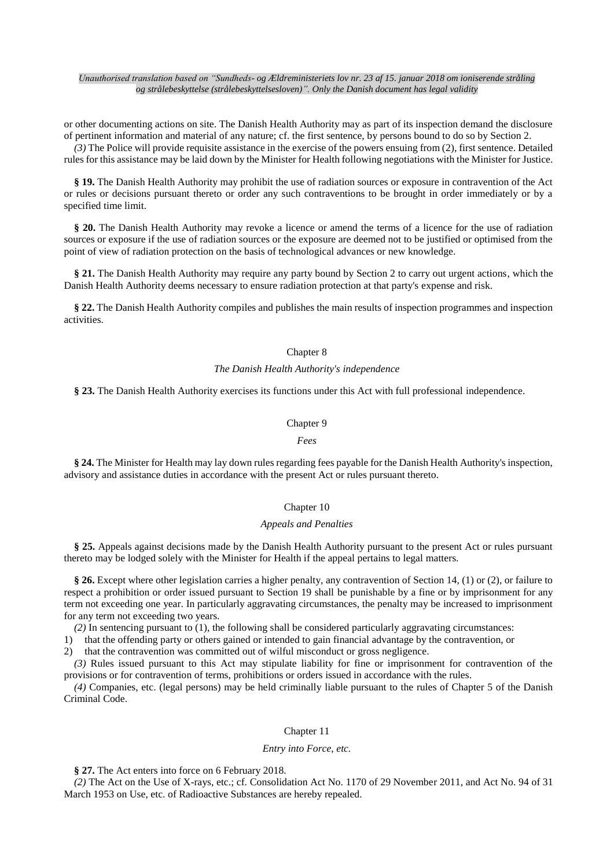or other documenting actions on site. The Danish Health Authority may as part of its inspection demand the disclosure of pertinent information and material of any nature; cf. the first sentence, by persons bound to do so by Section 2.

*(3)* The Police will provide requisite assistance in the exercise of the powers ensuing from (2), first sentence. Detailed rules for this assistance may be laid down by the Minister for Health following negotiations with the Minister for Justice.

**§ 19.** The Danish Health Authority may prohibit the use of radiation sources or exposure in contravention of the Act or rules or decisions pursuant thereto or order any such contraventions to be brought in order immediately or by a specified time limit.

**§ 20.** The Danish Health Authority may revoke a licence or amend the terms of a licence for the use of radiation sources or exposure if the use of radiation sources or the exposure are deemed not to be justified or optimised from the point of view of radiation protection on the basis of technological advances or new knowledge.

**§ 21.** The Danish Health Authority may require any party bound by Section 2 to carry out urgent actions, which the Danish Health Authority deems necessary to ensure radiation protection at that party's expense and risk.

**§ 22.** The Danish Health Authority compiles and publishes the main results of inspection programmes and inspection activities.

#### Chapter 8

#### *The Danish Health Authority's independence*

**§ 23.** The Danish Health Authority exercises its functions under this Act with full professional independence.

#### Chapter 9

#### *Fees*

**§ 24.** The Minister for Health may lay down rules regarding fees payable for the Danish Health Authority's inspection, advisory and assistance duties in accordance with the present Act or rules pursuant thereto.

## Chapter 10

## *Appeals and Penalties*

**§ 25.** Appeals against decisions made by the Danish Health Authority pursuant to the present Act or rules pursuant thereto may be lodged solely with the Minister for Health if the appeal pertains to legal matters.

**§ 26.** Except where other legislation carries a higher penalty, any contravention of Section 14, (1) or (2), or failure to respect a prohibition or order issued pursuant to Section 19 shall be punishable by a fine or by imprisonment for any term not exceeding one year. In particularly aggravating circumstances, the penalty may be increased to imprisonment for any term not exceeding two years.

*(2)* In sentencing pursuant to (1), the following shall be considered particularly aggravating circumstances:

1) that the offending party or others gained or intended to gain financial advantage by the contravention, or

2) that the contravention was committed out of wilful misconduct or gross negligence.

*(3)* Rules issued pursuant to this Act may stipulate liability for fine or imprisonment for contravention of the provisions or for contravention of terms, prohibitions or orders issued in accordance with the rules.

*(4)* Companies, etc. (legal persons) may be held criminally liable pursuant to the rules of Chapter 5 of the Danish Criminal Code.

#### Chapter 11

#### *Entry into Force, etc.*

**§ 27.** The Act enters into force on 6 February 2018.

*(2)* The Act on the Use of X-rays, etc.; cf. Consolidation Act No. 1170 of 29 November 2011, and Act No. 94 of 31 March 1953 on Use, etc. of Radioactive Substances are hereby repealed.